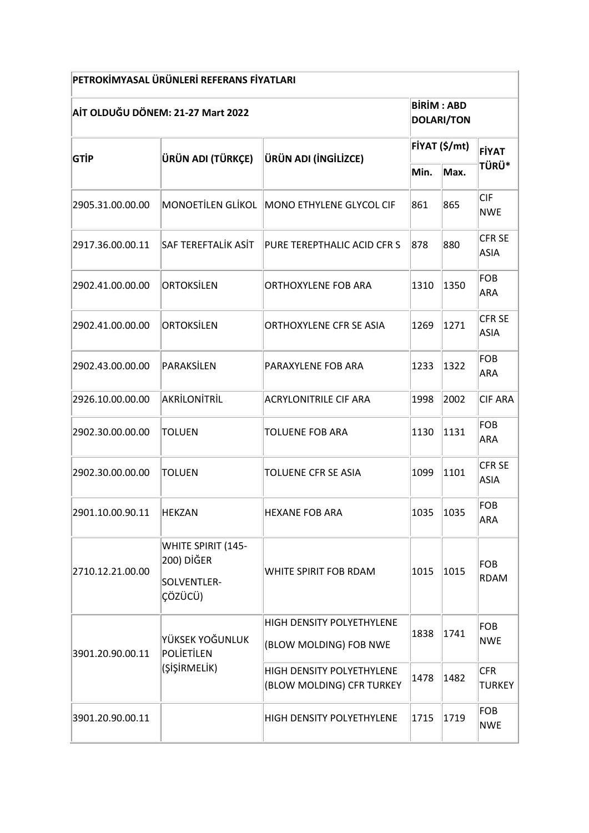| PETROKİMYASAL ÜRÜNLERİ REFERANS FİYATLARI |                                                            |                                                        |               |                                        |                              |  |  |  |  |
|-------------------------------------------|------------------------------------------------------------|--------------------------------------------------------|---------------|----------------------------------------|------------------------------|--|--|--|--|
| AİT OLDUĞU DÖNEM: 21-27 Mart 2022         |                                                            |                                                        |               | <b>BIRIM: ABD</b><br><b>DOLARI/TON</b> |                              |  |  |  |  |
| GTİP                                      | ÜRÜN ADI (TÜRKÇE)                                          | ÜRÜN ADI (İNGİLİZCE)                                   | FİYAT (\$/mt) |                                        | FİYAT                        |  |  |  |  |
|                                           |                                                            |                                                        | Min.          | Max.                                   | <b>TÜRÜ*</b>                 |  |  |  |  |
| 2905.31.00.00.00                          |                                                            | MONOETILEN GLIKOL MONO ETHYLENE GLYCOL CIF             | 861           | 865                                    | <b>CIF</b><br><b>NWE</b>     |  |  |  |  |
| 2917.36.00.00.11                          | SAF TEREFTALİK ASİT                                        | PURE TEREPTHALIC ACID CFR S                            | 878           | 880                                    | <b>CFR SE</b><br><b>ASIA</b> |  |  |  |  |
| 2902.41.00.00.00                          | ORTOKSİLEN                                                 | ORTHOXYLENE FOB ARA                                    | 1310          | 1350                                   | FOB<br><b>ARA</b>            |  |  |  |  |
| 2902.41.00.00.00                          | ORTOKSİLEN                                                 | <b>ORTHOXYLENE CFR SE ASIA</b>                         | 1269          | 1271                                   | <b>CFR SE</b><br><b>ASIA</b> |  |  |  |  |
| 2902.43.00.00.00                          | PARAKSİLEN                                                 | PARAXYLENE FOB ARA                                     | 1233          | 1322                                   | <b>FOB</b><br>ARA            |  |  |  |  |
| 2926.10.00.00.00                          | AKRİLONİTRİL                                               | <b>ACRYLONITRILE CIF ARA</b>                           | 1998          | 2002                                   | <b>CIF ARA</b>               |  |  |  |  |
| 2902.30.00.00.00                          | <b>TOLUEN</b>                                              | <b>TOLUENE FOB ARA</b>                                 | 1130          | 1131                                   | FOB<br><b>ARA</b>            |  |  |  |  |
| 2902.30.00.00.00                          | <b>TOLUEN</b>                                              | TOLUENE CFR SE ASIA                                    | 1099          | 1101                                   | <b>CFR SE</b><br><b>ASIA</b> |  |  |  |  |
| 2901.10.00.90.11                          | <b>HEKZAN</b>                                              | <b>HEXANE FOB ARA</b>                                  | 1035          | 1035                                   | FOB<br><b>ARA</b>            |  |  |  |  |
| 2710.12.21.00.00                          | WHITE SPIRIT (145-<br>200) DİĞER<br>SOLVENTLER-<br>ÇÖZÜCÜ) | WHITE SPIRIT FOB RDAM                                  | 1015          | 1015                                   | <b>FOB</b><br><b>RDAM</b>    |  |  |  |  |
| 3901.20.90.00.11                          | YÜKSEK YOĞUNLUK<br>POLIETILEN<br>(ŞİŞİRMELİK)              | HIGH DENSITY POLYETHYLENE<br>(BLOW MOLDING) FOB NWE    | 1838          | 1741                                   | <b>FOB</b><br><b>NWE</b>     |  |  |  |  |
|                                           |                                                            | HIGH DENSITY POLYETHYLENE<br>(BLOW MOLDING) CFR TURKEY | 1478          | 1482                                   | <b>CFR</b><br><b>TURKEY</b>  |  |  |  |  |
| 3901.20.90.00.11                          |                                                            | HIGH DENSITY POLYETHYLENE                              | 1715          | 1719                                   | <b>FOB</b><br><b>NWE</b>     |  |  |  |  |